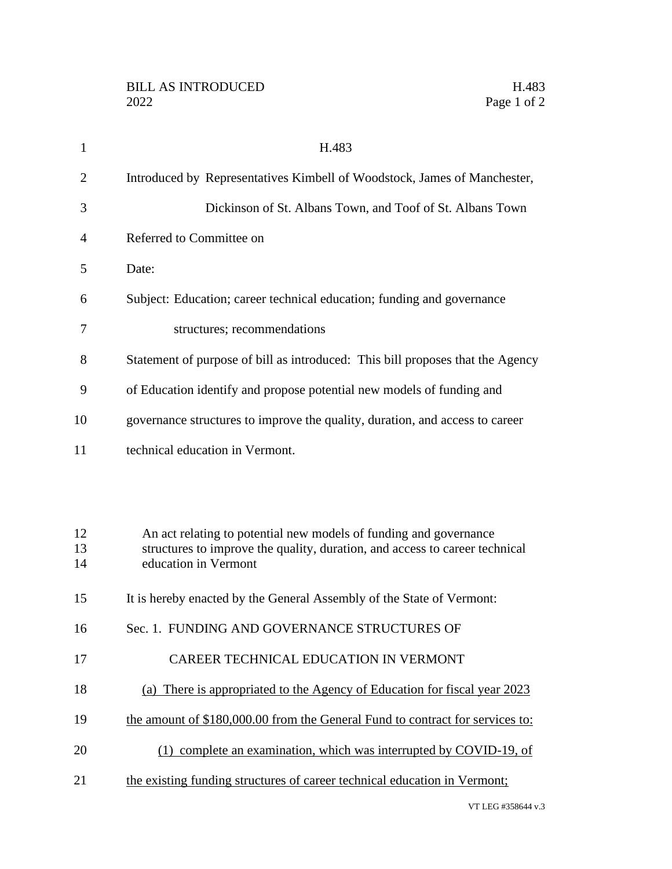| $\mathbf{1}$   | H.483                                                                                                                                            |
|----------------|--------------------------------------------------------------------------------------------------------------------------------------------------|
| $\overline{2}$ | Introduced by Representatives Kimbell of Woodstock, James of Manchester,                                                                         |
| 3              | Dickinson of St. Albans Town, and Toof of St. Albans Town                                                                                        |
| 4              | Referred to Committee on                                                                                                                         |
| 5              | Date:                                                                                                                                            |
| 6              | Subject: Education; career technical education; funding and governance                                                                           |
| 7              | structures; recommendations                                                                                                                      |
| 8              | Statement of purpose of bill as introduced: This bill proposes that the Agency                                                                   |
| 9              | of Education identify and propose potential new models of funding and                                                                            |
| 10             | governance structures to improve the quality, duration, and access to career                                                                     |
| 11             | technical education in Vermont.                                                                                                                  |
|                |                                                                                                                                                  |
|                |                                                                                                                                                  |
| 12<br>13       | An act relating to potential new models of funding and governance<br>structures to improve the quality, duration, and access to career technical |
| 14             | education in Vermont                                                                                                                             |
| 15             | It is hereby enacted by the General Assembly of the State of Vermont:                                                                            |
| 16             | Sec. 1. FUNDING AND GOVERNANCE STRUCTURES OF                                                                                                     |
| 17             | CAREER TECHNICAL EDUCATION IN VERMONT                                                                                                            |
| 18             | (a) There is appropriated to the Agency of Education for fiscal year 2023                                                                        |
| 19             | the amount of \$180,000.00 from the General Fund to contract for services to:                                                                    |
| 20             | (1) complete an examination, which was interrupted by COVID-19, of                                                                               |
| 21             | the existing funding structures of career technical education in Vermont;                                                                        |